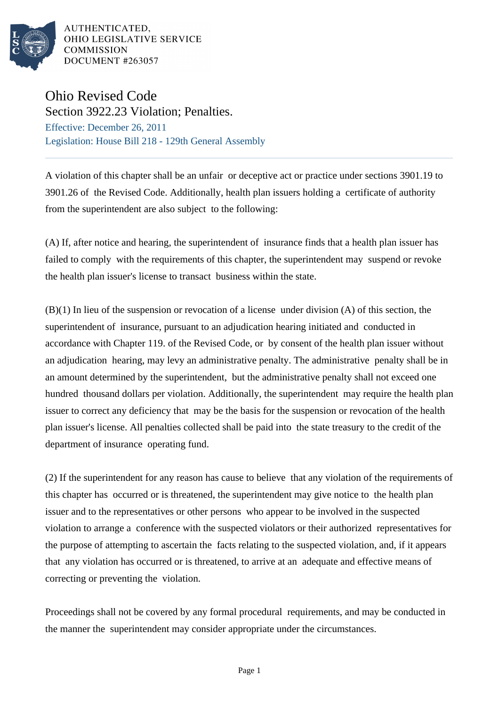

AUTHENTICATED. OHIO LEGISLATIVE SERVICE **COMMISSION** DOCUMENT #263057

## Ohio Revised Code

Section 3922.23 Violation; Penalties. Effective: December 26, 2011 Legislation: House Bill 218 - 129th General Assembly

A violation of this chapter shall be an unfair or deceptive act or practice under sections 3901.19 to 3901.26 of the Revised Code. Additionally, health plan issuers holding a certificate of authority from the superintendent are also subject to the following:

(A) If, after notice and hearing, the superintendent of insurance finds that a health plan issuer has failed to comply with the requirements of this chapter, the superintendent may suspend or revoke the health plan issuer's license to transact business within the state.

(B)(1) In lieu of the suspension or revocation of a license under division (A) of this section, the superintendent of insurance, pursuant to an adjudication hearing initiated and conducted in accordance with Chapter 119. of the Revised Code, or by consent of the health plan issuer without an adjudication hearing, may levy an administrative penalty. The administrative penalty shall be in an amount determined by the superintendent, but the administrative penalty shall not exceed one hundred thousand dollars per violation. Additionally, the superintendent may require the health plan issuer to correct any deficiency that may be the basis for the suspension or revocation of the health plan issuer's license. All penalties collected shall be paid into the state treasury to the credit of the department of insurance operating fund.

(2) If the superintendent for any reason has cause to believe that any violation of the requirements of this chapter has occurred or is threatened, the superintendent may give notice to the health plan issuer and to the representatives or other persons who appear to be involved in the suspected violation to arrange a conference with the suspected violators or their authorized representatives for the purpose of attempting to ascertain the facts relating to the suspected violation, and, if it appears that any violation has occurred or is threatened, to arrive at an adequate and effective means of correcting or preventing the violation.

Proceedings shall not be covered by any formal procedural requirements, and may be conducted in the manner the superintendent may consider appropriate under the circumstances.